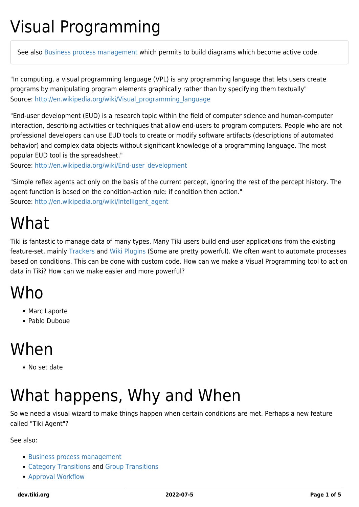### Visual Programming

See also [Business process management](https://dev.tiki.org/Business-process-management) which permits to build diagrams which become active code.

"In computing, a visual programming language (VPL) is any programming language that lets users create programs by manipulating program elements graphically rather than by specifying them textually" Source: [http://en.wikipedia.org/wiki/Visual\\_programming\\_language](http://en.wikipedia.org/wiki/Visual_programming_language)

"End-user development (EUD) is a research topic within the field of computer science and human-computer interaction, describing activities or techniques that allow end-users to program computers. People who are not professional developers can use EUD tools to create or modify software artifacts (descriptions of automated behavior) and complex data objects without significant knowledge of a programming language. The most popular EUD tool is the spreadsheet."

Source: [http://en.wikipedia.org/wiki/End-user\\_development](http://en.wikipedia.org/wiki/End-user_development)

"Simple reflex agents act only on the basis of the current percept, ignoring the rest of the percept history. The agent function is based on the condition-action rule: if condition then action." Source: [http://en.wikipedia.org/wiki/Intelligent\\_agent](http://en.wikipedia.org/wiki/Intelligent_agent)

### What

Tiki is fantastic to manage data of many types. Many Tiki users build end-user applications from the existing feature-set, mainly [Trackers](http://doc.tiki.org/Trackers) and [Wiki Plugins](http://doc.tiki.org/Wiki%20Plugins) (Some are pretty powerful). We often want to automate processes based on conditions. This can be done with custom code. How can we make a Visual Programming tool to act on data in Tiki? How can we make easier and more powerful?

### **Who**

- Marc Laporte
- Pablo Duboue

### When

No set date

# What happens, Why and When

So we need a visual wizard to make things happen when certain conditions are met. Perhaps a new feature called "Tiki Agent"?

See also:

- [Business process management](https://dev.tiki.org/Business-process-management)
- [Category Transitions](https://dev.tiki.org/Category-Transitions) and [Group Transitions](https://dev.tiki.org/Group-Transitions)
- [Approval Workflow](https://dev.tiki.org/Approval-Workflow)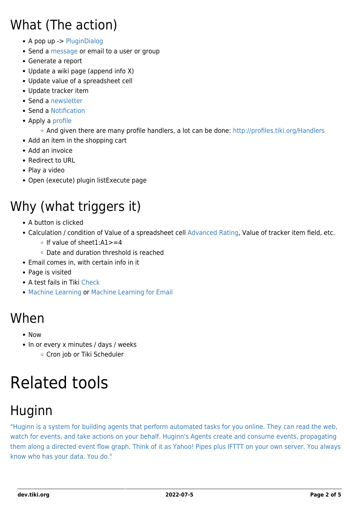#### What (The action)

- A pop up -> [PluginDialog](http://doc.tiki.org/PluginDialog)
- Send a [message](http://doc.tiki.org/message) or email to a user or group
- Generate a report
- Update a wiki page (append info X)
- Update value of a spreadsheet cell
- Update tracker item
- Send a [newsletter](https://dev.tiki.org/Newsletter)
- Send a [Notification](http://doc.tiki.org/Notification)
- Apply a [profile](http://doc.tiki.org/profile)
	- And given there are many profile handlers, a lot can be done:<http://profiles.tiki.org/Handlers>
- Add an item in the shopping cart
- Add an invoice
- Redirect to URL
- Play a video
- Open (execute) plugin listExecute page

### Why (what triggers it)

- A button is clicked
- Calculation / condition of Value of a spreadsheet cell [Advanced Rating,](http://doc.tiki.org/Advanced%20Rating) Value of tracker item field, etc.
	- $\circ$  If value of sheet1:A1>=4
	- Date and duration threshold is reached
- Email comes in, with certain info in it
- Page is visited
- A test fails in Tiki [Check](http://doc.tiki.org/Check)
- [Machine Learning](https://dev.tiki.org/Machine-Learning) or [Machine Learning for Email](https://dev.tiki.org/Machine-Learning-for-Email)

#### When

- Now
- In or every x minutes / days / weeks Cron job or Tiki Scheduler

### Related tools

#### **Huginn**

["Huginn is a system for building agents that perform automated tasks for you online. They can read the web,](https://github.com/cantino/huginn/blob/master/README.md) [watch for events, and take actions on your behalf. Huginn's Agents create and consume events, propagating](https://github.com/cantino/huginn/blob/master/README.md) [them along a directed event flow graph. Think of it as Yahoo! Pipes plus IFTTT on your own server. You always](https://github.com/cantino/huginn/blob/master/README.md) [know who has your data. You do."](https://github.com/cantino/huginn/blob/master/README.md)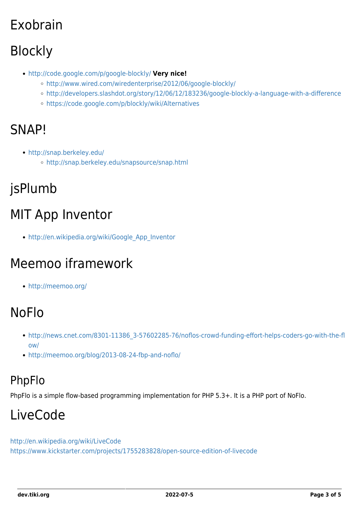### Exobrain

### Blockly

- <http://code.google.com/p/google-blockly/> **Very nice!**
	- <http://www.wired.com/wiredenterprise/2012/06/google-blockly/>
	- <http://developers.slashdot.org/story/12/06/12/183236/google-blockly-a-language-with-a-difference>
	- <https://code.google.com/p/blockly/wiki/Alternatives>

#### SNAP!

- <http://snap.berkeley.edu/>
	- <http://snap.berkeley.edu/snapsource/snap.html>

#### jsPlumb

### MIT App Inventor

[http://en.wikipedia.org/wiki/Google\\_App\\_Inventor](http://en.wikipedia.org/wiki/Google_App_Inventor)

#### Meemoo iframework

<http://meemoo.org/>

#### NoFlo

- [http://news.cnet.com/8301-11386\\_3-57602285-76/noflos-crowd-funding-effort-helps-coders-go-with-the-fl](http://news.cnet.com/8301-11386_3-57602285-76/noflos-crowd-funding-effort-helps-coders-go-with-the-flow/) [ow/](http://news.cnet.com/8301-11386_3-57602285-76/noflos-crowd-funding-effort-helps-coders-go-with-the-flow/)
- <http://meemoo.org/blog/2013-08-24-fbp-and-noflo/>

#### PhpFlo

PhpFlo is a simple flow-based programming implementation for PHP 5.3+. It is a PHP port of NoFlo.

#### LiveCode

<http://en.wikipedia.org/wiki/LiveCode> <https://www.kickstarter.com/projects/1755283828/open-source-edition-of-livecode>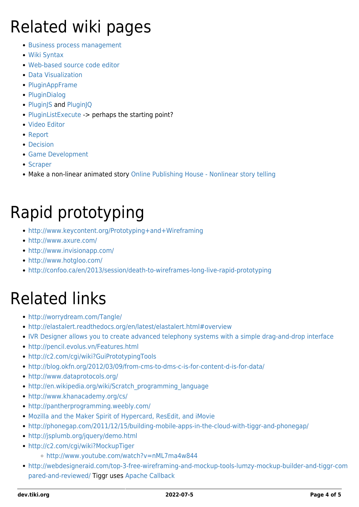# Related wiki pages

- [Business process management](https://dev.tiki.org/Business-process-management)
- [Wiki Syntax](https://dev.tiki.org/Wiki-Syntax)
- [Web-based source code editor](https://dev.tiki.org/Web-based-source-code-editor)
- [Data Visualization](https://dev.tiki.org/Data-Visualization)
- [PluginAppFrame](http://doc.tiki.org/PluginAppFrame)
- [PluginDialog](http://doc.tiki.org/PluginDialog)
- [PluginJS](http://doc.tiki.org/PluginJS) and [PluginJQ](http://doc.tiki.org/PluginJQ)
- [PluginListExecute](http://doc.tiki.org/PluginListExecute) -> perhaps the starting point?
- [Video Editor](https://dev.tiki.org/Video-Editor)
- [Report](https://dev.tiki.org/Report)
- [Decision](https://dev.tiki.org/Decision)
- [Game Development](https://dev.tiki.org/Game-Development)
- [Scraper](https://dev.tiki.org/Scraper)
- Make a non-linear animated story [Online Publishing House Nonlinear story telling](https://dev.tiki.org/Online-Publishing-House---Nonlinear-story-telling)

# Rapid prototyping

- <http://www.keycontent.org/Prototyping+and+Wireframing>
- <http://www.axure.com/>
- <http://www.invisionapp.com/>
- <http://www.hotgloo.com/>
- <http://confoo.ca/en/2013/session/death-to-wireframes-long-live-rapid-prototyping>

### Related links

- <http://worrydream.com/Tangle/>
- <http://elastalert.readthedocs.org/en/latest/elastalert.html#overview>
- [IVR Designer allows you to create advanced telephony systems with a simple drag-and-drop interface](http://www.ictdialer.org/content/ivr-designer)
- <http://pencil.evolus.vn/Features.html>
- <http://c2.com/cgi/wiki?GuiPrototypingTools>
- <http://blog.okfn.org/2012/03/09/from-cms-to-dms-c-is-for-content-d-is-for-data/>
- <http://www.dataprotocols.org/>
- [http://en.wikipedia.org/wiki/Scratch\\_programming\\_language](http://en.wikipedia.org/wiki/Scratch_programming_language)
- <http://www.khanacademy.org/cs/>
- <http://pantherprogramming.weebly.com/>
- [Mozilla and the Maker Spirit of Hypercard, ResEdit, and iMovie](http://www.benmoskowitz.com/?p=385)
- <http://phonegap.com/2011/12/15/building-mobile-apps-in-the-cloud-with-tiggr-and-phonegap/>
- <http://jsplumb.org/jquery/demo.html>
- <http://c2.com/cgi/wiki?MockupTiger>
	- <http://www.youtube.com/watch?v=nML7ma4w844>
- [http://webdesigneraid.com/top-3-free-wireframing-and-mockup-tools-lumzy-mockup-builder-and-tiggr-com](http://webdesigneraid.com/top-3-free-wireframing-and-mockup-tools-lumzy-mockup-builder-and-tiggr-compared-and-reviewed/) [pared-and-reviewed/](http://webdesigneraid.com/top-3-free-wireframing-and-mockup-tools-lumzy-mockup-builder-and-tiggr-compared-and-reviewed/) Tiggr uses [Apache Callback](https://dev.tiki.org/Apache-Callback)